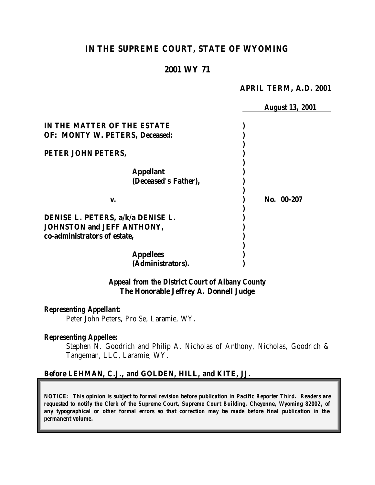# **IN THE SUPREME COURT, STATE OF WYOMING**

### **2001 WY 71**

#### **APRIL TERM, A.D. 2001**

|                                       | <b>August 13, 2001</b> |
|---------------------------------------|------------------------|
| IN THE MATTER OF THE ESTATE           |                        |
| <b>OF: MONTY W. PETERS, Deceased:</b> |                        |
|                                       |                        |
| PETER JOHN PETERS,                    |                        |
|                                       |                        |
| <b>Appellant</b>                      |                        |
| (Deceased's Father),                  |                        |
| V.                                    | No. 00-207             |
| DENISE L. PETERS, a/k/a DENISE L.     |                        |
| <b>JOHNSTON and JEFF ANTHONY,</b>     |                        |
| co-administrators of estate,          |                        |
|                                       |                        |
| <b>Appellees</b>                      |                        |
| (Administrators).                     |                        |

*Appeal from the District Court of Albany County* **The Honorable Jeffrey A. Donnell Judge**

#### *Representing Appellant:*

Peter John Peters, *Pro Se*, Laramie, WY.

#### *Representing Appellee:*

Stephen N. Goodrich and Philip A. Nicholas of Anthony, Nicholas, Goodrich & Tangeman, LLC, Laramie, WY.

#### **Before LEHMAN, C.J., and GOLDEN, HILL, and KITE, JJ.**

*NOTICE: This opinion is subject to formal revision before publication in Pacific Reporter Third. Readers are requested to notify the Clerk of the Supreme Court, Supreme Court Building, Cheyenne, Wyoming 82002, of any typographical or other formal errors so that correction may be made before final publication in the permanent volume.*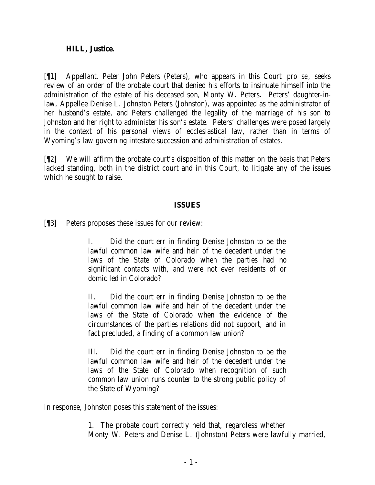### **HILL, Justice.**

[¶1] Appellant, Peter John Peters (Peters), who appears in this Court *pro se*, seeks review of an order of the probate court that denied his efforts to insinuate himself into the administration of the estate of his deceased son, Monty W. Peters. Peters' daughter-inlaw, Appellee Denise L. Johnston Peters (Johnston), was appointed as the administrator of her husband's estate, and Peters challenged the legality of the marriage of his son to Johnston and her right to administer his son's estate. Peters' challenges were posed largely in the context of his personal views of ecclesiastical law, rather than in terms of Wyoming's law governing intestate succession and administration of estates.

[¶2] We will affirm the probate court's disposition of this matter on the basis that Peters lacked standing, both in the district court and in this Court, to litigate any of the issues which he sought to raise.

### **ISSUES**

[¶3] Peters proposes these issues for our review:

I. Did the court err in finding Denise Johnston to be the lawful common law wife and heir of the decedent under the laws of the State of Colorado when the parties had no significant contacts with, and were not ever residents of or domiciled in Colorado?

II. Did the court err in finding Denise Johnston to be the lawful common law wife and heir of the decedent under the laws of the State of Colorado when the evidence of the circumstances of the parties relations did not support, and in fact precluded, a finding of a common law union?

III. Did the court err in finding Denise Johnston to be the lawful common law wife and heir of the decedent under the laws of the State of Colorado when recognition of such common law union runs counter to the strong public policy of the State of Wyoming?

In response, Johnston poses this statement of the issues:

1. The probate court correctly held that, regardless whether Monty W. Peters and Denise L. (Johnston) Peters were lawfully married,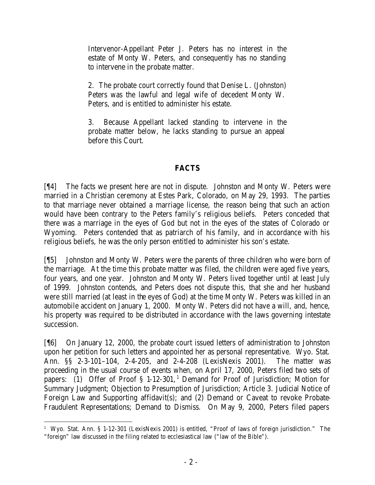Intervenor-Appellant Peter J. Peters has no interest in the estate of Monty W. Peters, and consequently has no standing to intervene in the probate matter.

2. The probate court correctly found that Denise L. (Johnston) Peters was the lawful and legal wife of decedent Monty W. Peters, and is entitled to administer his estate.

3. Because Appellant lacked standing to intervene in the probate matter below, he lacks standing to pursue an appeal before this Court.

## **FACTS**

[¶4] The facts we present here are not in dispute. Johnston and Monty W. Peters were married in a Christian ceremony at Estes Park, Colorado, on May 29, 1993. The parties to that marriage never obtained a marriage license, the reason being that such an action would have been contrary to the Peters family's religious beliefs. Peters conceded that there was a marriage in the eyes of God but not in the eyes of the states of Colorado or Wyoming. Peters contended that as patriarch of his family, and in accordance with his religious beliefs, he was the only person entitled to administer his son's estate.

[¶5] Johnston and Monty W. Peters were the parents of three children who were born of the marriage. At the time this probate matter was filed, the children were aged five years, four years, and one year. Johnston and Monty W. Peters lived together until at least July of 1999. Johnston contends, and Peters does not dispute this, that she and her husband were still married (at least in the eyes of God) at the time Monty W. Peters was killed in an automobile accident on January 1, 2000. Monty W. Peters did not have a will, and, hence, his property was required to be distributed in accordance with the laws governing intestate succession.

[¶6] On January 12, 2000, the probate court issued letters of administration to Johnston upon her petition for such letters and appointed her as personal representative. Wyo. Stat. Ann. §§ 2-3-101–104, 2-4-205, and 2-4-208 (LexisNexis 2001). The matter was proceeding in the usual course of events when, on April 17, 2000, Peters filed two sets of papers: (1) Offer of Proof  $\S$  1-12-301, <sup>1</sup> Demand for Proof of Jurisdiction; Motion for Summary Judgment; Objection to Presumption of Jurisdiction; Article 3. Judicial Notice of Foreign Law and Supporting affidavit(s); and (2) Demand or Caveat to revoke Probate-Fraudulent Representations; Demand to Dismiss. On May 9, 2000, Peters filed papers

 <sup>1</sup> Wyo. Stat. Ann. § 1-12-301 (LexisNexis 2001) is entitled, "Proof of laws of foreign jurisdiction." The "foreign" law discussed in the filing related to ecclesiastical law ("law of the Bible").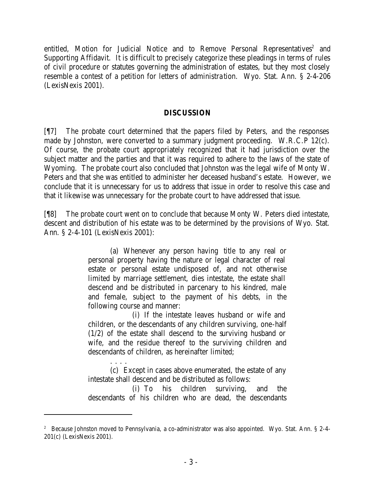entitled, Motion for Judicial Notice and to Remove Personal Representatives<sup>2</sup> and Supporting Affidavit. It is difficult to precisely categorize these pleadings in terms of rules of civil procedure or statutes governing the administration of estates, but they most closely resemble a contest of a petition for letters of administra tion. Wyo. Stat. Ann. § 2-4-206 (LexisNexis 2001).

### **DISCUSSION**

[¶7] The probate court determined that the papers filed by Peters, and the responses made by Johnston, were converted to a summary judgment proceeding. W.R.C.P 12(c). Of course, the probate court appropriately recognized that it had jurisdiction over the subject matter and the parties and that it was required to adhere to the laws of the state of Wyoming. The probate court also concluded that Johnston was the legal wife of Monty W. Peters and that she was entitled to administer her deceased husband's estate. However, we conclude that it is unnecessary for us to address that issue in order to resolve this case and that it likewise was unnecessary for the probate court to have addressed that issue.

[¶8] The probate court went on to conclude that because Monty W. Peters died intestate, descent and distribution of his estate was to be determined by the provisions of Wyo. Stat. Ann. § 2-4-101 (LexisNexis 2001):

> (a) Whenever any person having title to any real or personal property having the nature or legal character of real estate or personal estate undisposed of, and not otherwise limited by marriage settlement, dies intestate, the estate shall descend and be distributed in parcenary to his kindred, male and female, subject to the payment of his debts, in the following course and manner:

> (i) If the intestate leaves husband or wife and children, or the descendants of any children surviving, one-half (1/2) of the estate shall descend to the surviving husband or wife, and the residue thereof to the surviving children and descendants of children, as hereinafter limited;

> . . . . (c) Except in cases above enumerated, the estate of any intestate shall descend and be distributed as follows:

> (i) To his children surviving, and the descendants of his children who are dead, the descendants

<sup>&</sup>lt;sup>2</sup> Because Johnston moved to Pennsylvania, a co-administrator was also appointed. Wyo. Stat. Ann. § 2-4-201(c) (LexisNexis 2001).